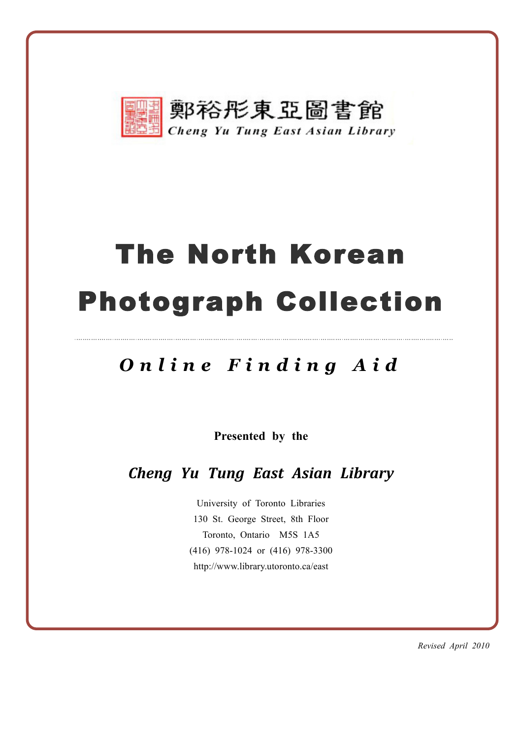

# The North Korean Photograph Collection

# *O n l i n e F i n d i n g A i d*

**Presented by the**

*Cheng Yu Tung East Asian Library*

University of Toronto Libraries 130 St. George Street, 8th Floor Toronto, Ontario M5S 1A5 (416) 978-1024 or (416) 978-3300 http://www.library.utoronto.ca/east

*Revised April 2010*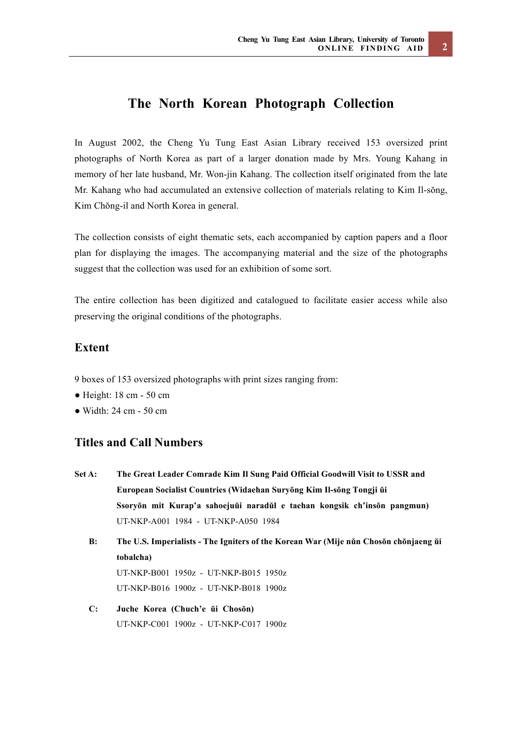# **The North Korean Photograph Collection**

In August 2002, the Cheng Yu Tung East Asian Library received 153 oversized print photographs of North Korea as part of a larger donation made by Mrs. Young Kahang in memory of her late husband, Mr. Won-jin Kahang. The collection itself originated from the late Mr. Kahang who had accumulated an extensive collection of materials relating to Kim Il-sŏng, Kim Chŏng-il and North Korea in general.

The collection consists of eight thematic sets, each accompanied by caption papers and a floor plan for displaying the images. The accompanying material and the size of the photographs suggest that the collection was used for an exhibition of some sort.

The entire collection has been digitized and catalogued to facilitate easier access while also preserving the original conditions of the photographs.

#### **Extent**

9 boxes of 153 oversized photographs with print sizes ranging from:

- $\bullet$  Height: 18 cm 50 cm
- $\bullet$  Width: 24 cm 50 cm

### **Titles and Call Numbers**

- **Set A: The Great Leader Comrade Kim Il Sung Paid Official Goodwill Visit to USSR and European Socialist Countries (Widaehan Suryŏng Kim Il-sŏng Tongji ŭi Ssoryŏn mit Kurap'a sahoejuŭi naradŭl e taehan kongsik ch'insŏn pangmun)** UT-NKP-A001 1984 - UT-NKP-A050 1984
	- **B: The U.S. Imperialists - The Igniters of the Korean War (Mije nŭn Chosŏn chŏnjaeng ŭi tobalcha)** UT-NKP-B001 1950z - UT-NKP-B015 1950z UT-NKP-B016 1900z - UT-NKP-B018 1900z
	- **C: Juche Korea (Chuch'e ŭi Chosŏn)** UT-NKP-C001 1900z - UT-NKP-C017 1900z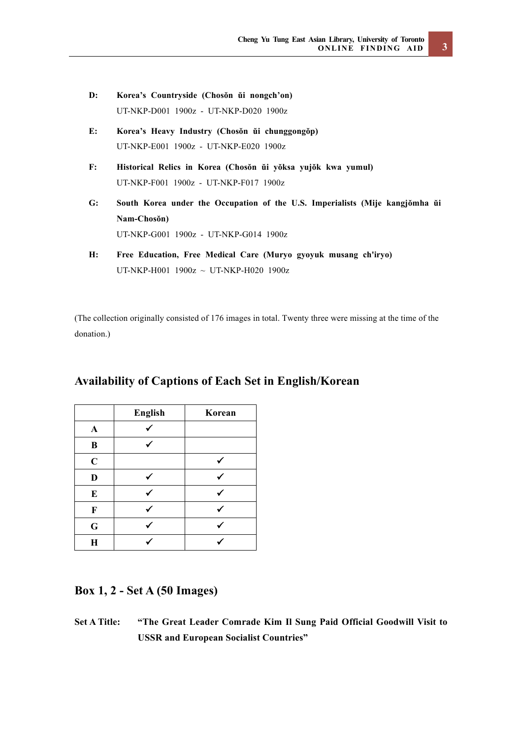- **D: Korea's Countryside (Chosŏn ŭi nongch'on)** UT-NKP-D001 1900z - UT-NKP-D020 1900z
- **E: Korea's Heavy Industry (Chosŏn ŭi chunggongŏp)** UT-NKP-E001 1900z - UT-NKP-E020 1900z
- **F: Historical Relics in Korea (Chosŏn ŭi yŏksa yujŏk kwa yumul)** UT-NKP-F001 1900z - UT-NKP-F017 1900z
- **G: South Korea under the Occupation of the U.S. Imperialists (Mije kangjŏmha ŭi Nam-Chosŏn)** UT-NKP-G001 1900z - UT-NKP-G014 1900z
- **H: Free Education, Free Medical Care (Muryo gyoyuk musang ch'iryo)** UT-NKP-H001 1900z ~ UT-NKP-H020 1900z

(The collection originally consisted of 176 images in total. Twenty three were missing at the time of the donation.)

#### **Availability of Captions of Each Set in English/Korean**

|              | <b>English</b> | Korean |
|--------------|----------------|--------|
| $\mathbf A$  |                |        |
| $\bf{B}$     |                |        |
| $\mathbf C$  |                |        |
| $\mathbf{D}$ |                |        |
| E            |                |        |
| $\mathbf F$  |                |        |
| $\mathbf G$  |                |        |
| H            |                |        |

## **Box 1, 2 - Set A (50 Images)**

**Set A Title: "The Great Leader Comrade Kim Il Sung Paid Official Goodwill Visit to USSR and European Socialist Countries"**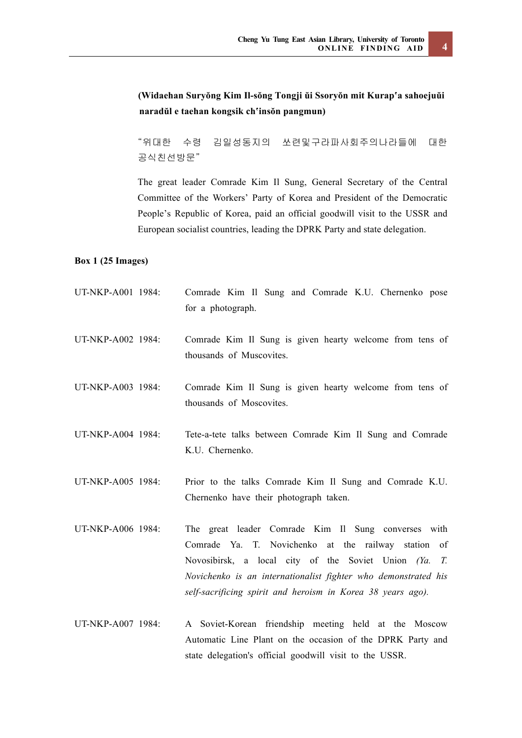**(Widaehan Suryŏng Kim Il-sŏng Tongji ŭi Ssoryŏn mit Kurap'a sahoejuŭi naradŭl e taehan kongsik ch'insŏn pangmun)**

"위대한 수령 김일성동지의 쏘련및구라파사회주의나라들에 대한 공식친선방문"

The great leader Comrade Kim Il Sung, General Secretary of the Central Committee of the Workers' Party of Korea and President of the Democratic People's Republic of Korea, paid an official goodwill visit to the USSR and European socialist countries, leading the DPRK Party and state delegation.

#### **Box 1 (25 Images)**

| UT-NKP-A001 1984: | Comrade Kim Il Sung and Comrade K.U. Chernenko pose<br>for a photograph.                                                                                                                                                                                                                             |
|-------------------|------------------------------------------------------------------------------------------------------------------------------------------------------------------------------------------------------------------------------------------------------------------------------------------------------|
| UT-NKP-A002 1984: | Comrade Kim Il Sung is given hearty welcome from tens of<br>thousands of Muscovites.                                                                                                                                                                                                                 |
| UT-NKP-A003 1984: | Comrade Kim Il Sung is given hearty welcome from tens of<br>thousands of Moscovites.                                                                                                                                                                                                                 |
| UT-NKP-A004 1984: | Tete-a-tete talks between Comrade Kim Il Sung and Comrade<br>K.U. Chernenko.                                                                                                                                                                                                                         |
| UT-NKP-A005 1984: | Prior to the talks Comrade Kim Il Sung and Comrade K.U.<br>Chernenko have their photograph taken.                                                                                                                                                                                                    |
| UT-NKP-A006 1984: | The great leader Comrade Kim Il Sung converses with<br>Comrade Ya. T. Novichenko at the railway station of<br>Novosibirsk, a local city of the Soviet Union (Ya. T.<br>Novichenko is an internationalist fighter who demonstrated his<br>self-sacrificing spirit and heroism in Korea 38 years ago). |
| UT-NKP-A007 1984: | A Soviet-Korean friendship meeting held at the Moscow<br>Automatic Line Plant on the occasion of the DPRK Party and<br>state delegation's official goodwill visit to the USSR.                                                                                                                       |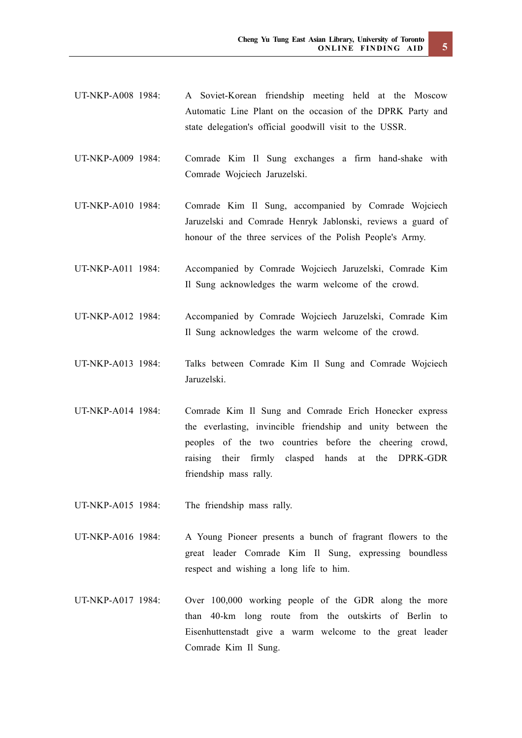- UT-NKP-A008 1984: A Soviet-Korean friendship meeting held at the Moscow Automatic Line Plant on the occasion of the DPRK Party and state delegation's official goodwill visit to the USSR.
- UT-NKP-A009 1984: Comrade Kim Il Sung exchanges a firm hand-shake with Comrade Wojciech Jaruzelski.
- UT-NKP-A010 1984: Comrade Kim Il Sung, accompanied by Comrade Wojciech Jaruzelski and Comrade Henryk Jablonski, reviews a guard of honour of the three services of the Polish People's Army.
- UT-NKP-A011 1984: Accompanied by Comrade Wojciech Jaruzelski, Comrade Kim Il Sung acknowledges the warm welcome of the crowd.
- UT-NKP-A012 1984: Accompanied by Comrade Wojciech Jaruzelski, Comrade Kim Il Sung acknowledges the warm welcome of the crowd.
- UT-NKP-A013 1984: Talks between Comrade Kim Il Sung and Comrade Wojciech Jaruzelski.
- UT-NKP-A014 1984: Comrade Kim Il Sung and Comrade Erich Honecker express the everlasting, invincible friendship and unity between the peoples of the two countries before the cheering crowd, raising their firmly clasped hands at the DPRK-GDR friendship mass rally.
- UT-NKP-A015 1984: The friendship mass rally.
- UT-NKP-A016 1984: A Young Pioneer presents a bunch of fragrant flowers to the great leader Comrade Kim Il Sung, expressing boundless respect and wishing a long life to him.
- UT-NKP-A017 1984: Over 100,000 working people of the GDR along the more than 40-km long route from the outskirts of Berlin to Eisenhuttenstadt give a warm welcome to the great leader Comrade Kim Il Sung.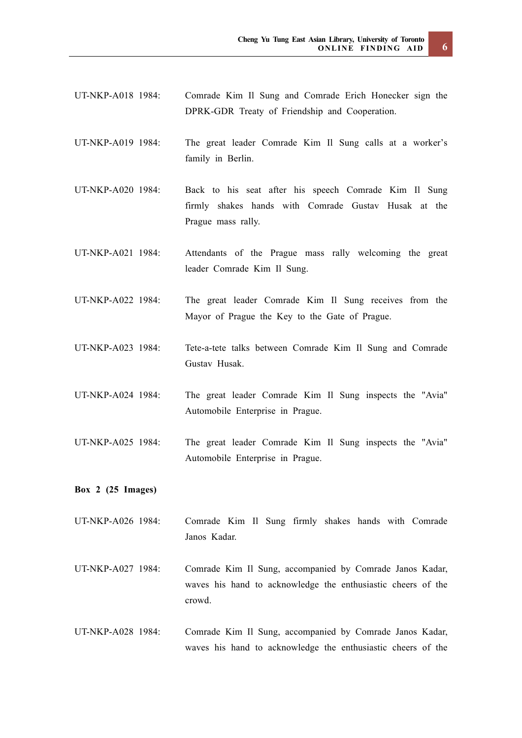- UT-NKP-A018 1984: Comrade Kim Il Sung and Comrade Erich Honecker sign the DPRK-GDR Treaty of Friendship and Cooperation.
- UT-NKP-A019 1984: The great leader Comrade Kim Il Sung calls at a worker's family in Berlin.
- UT-NKP-A020 1984: Back to his seat after his speech Comrade Kim Il Sung firmly shakes hands with Comrade Gustav Husak at the Prague mass rally.
- UT-NKP-A021 1984: Attendants of the Prague mass rally welcoming the great leader Comrade Kim Il Sung.
- UT-NKP-A022 1984: The great leader Comrade Kim Il Sung receives from the Mayor of Prague the Key to the Gate of Prague.
- UT-NKP-A023 1984: Tete-a-tete talks between Comrade Kim Il Sung and Comrade Gustav Husak.
- UT-NKP-A024 1984: The great leader Comrade Kim Il Sung inspects the "Avia" Automobile Enterprise in Prague.
- UT-NKP-A025 1984: The great leader Comrade Kim Il Sung inspects the "Avia" Automobile Enterprise in Prague.
- **Box 2 (25 Images)**
- UT-NKP-A026 1984: Comrade Kim Il Sung firmly shakes hands with Comrade Janos Kadar.
- UT-NKP-A027 1984: Comrade Kim Il Sung, accompanied by Comrade Janos Kadar, waves his hand to acknowledge the enthusiastic cheers of the crowd.
- UT-NKP-A028 1984: Comrade Kim Il Sung, accompanied by Comrade Janos Kadar, waves his hand to acknowledge the enthusiastic cheers of the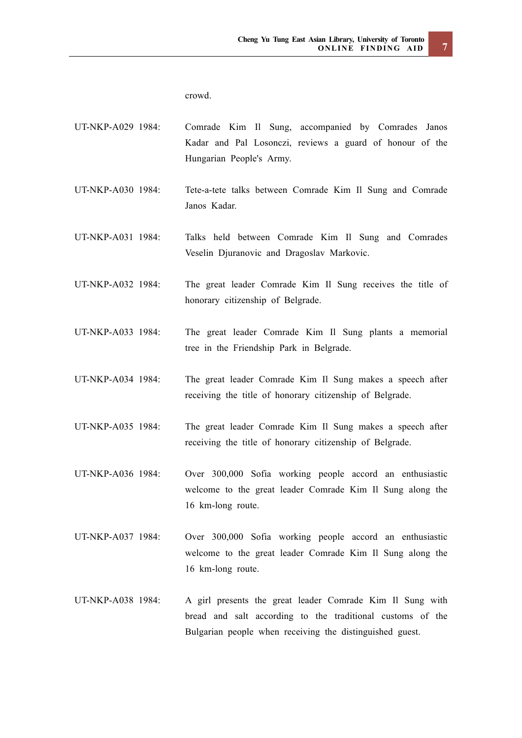crowd.

| UT-NKP-A029 1984: |                          |  |  | Comrade Kim Il Sung, accompanied by Comrades Janos       |  |  |  |
|-------------------|--------------------------|--|--|----------------------------------------------------------|--|--|--|
|                   |                          |  |  | Kadar and Pal Losonczi, reviews a guard of honour of the |  |  |  |
|                   | Hungarian People's Army. |  |  |                                                          |  |  |  |

- UT-NKP-A030 1984: Tete-a-tete talks between Comrade Kim Il Sung and Comrade Janos Kadar.
- UT-NKP-A031 1984: Talks held between Comrade Kim Il Sung and Comrades Veselin Djuranovic and Dragoslav Markovic.
- UT-NKP-A032 1984: The great leader Comrade Kim Il Sung receives the title of honorary citizenship of Belgrade.
- UT-NKP-A033 1984: The great leader Comrade Kim Il Sung plants a memorial tree in the Friendship Park in Belgrade.
- UT-NKP-A034 1984: The great leader Comrade Kim Il Sung makes a speech after receiving the title of honorary citizenship of Belgrade.
- UT-NKP-A035 1984: The great leader Comrade Kim Il Sung makes a speech after receiving the title of honorary citizenship of Belgrade.
- UT-NKP-A036 1984: Over 300,000 Sofia working people accord an enthusiastic welcome to the great leader Comrade Kim Il Sung along the 16 km-long route.
- UT-NKP-A037 1984: Over 300,000 Sofia working people accord an enthusiastic welcome to the great leader Comrade Kim Il Sung along the 16 km-long route.
- UT-NKP-A038 1984: A girl presents the great leader Comrade Kim Il Sung with bread and salt according to the traditional customs of the Bulgarian people when receiving the distinguished guest.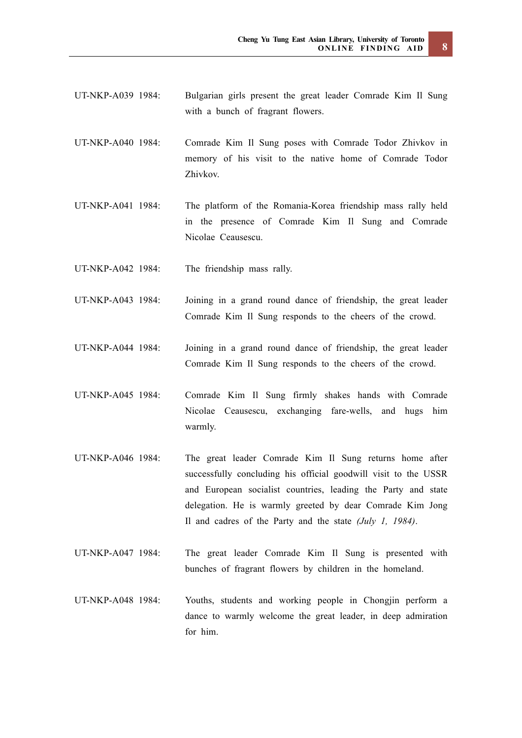- UT-NKP-A039 1984: Bulgarian girls present the great leader Comrade Kim Il Sung with a bunch of fragrant flowers.
- UT-NKP-A040 1984: Comrade Kim Il Sung poses with Comrade Todor Zhivkov in memory of his visit to the native home of Comrade Todor Zhivkov.
- UT-NKP-A041 1984: The platform of the Romania-Korea friendship mass rally held in the presence of Comrade Kim Il Sung and Comrade Nicolae Ceausescu.
- UT-NKP-A042 1984: The friendship mass rally.
- UT-NKP-A043 1984: Joining in a grand round dance of friendship, the great leader Comrade Kim Il Sung responds to the cheers of the crowd.
- UT-NKP-A044 1984: Joining in a grand round dance of friendship, the great leader Comrade Kim Il Sung responds to the cheers of the crowd.
- UT-NKP-A045 1984: Comrade Kim Il Sung firmly shakes hands with Comrade Nicolae Ceausescu, exchanging fare-wells, and hugs him warmly.
- UT-NKP-A046 1984: The great leader Comrade Kim Il Sung returns home after successfully concluding his official goodwill visit to the USSR and European socialist countries, leading the Party and state delegation. He is warmly greeted by dear Comrade Kim Jong Il and cadres of the Party and the state *(July 1, 1984)*.
- UT-NKP-A047 1984: The great leader Comrade Kim Il Sung is presented with bunches of fragrant flowers by children in the homeland.
- UT-NKP-A048 1984: Youths, students and working people in Chongjin perform a dance to warmly welcome the great leader, in deep admiration for him.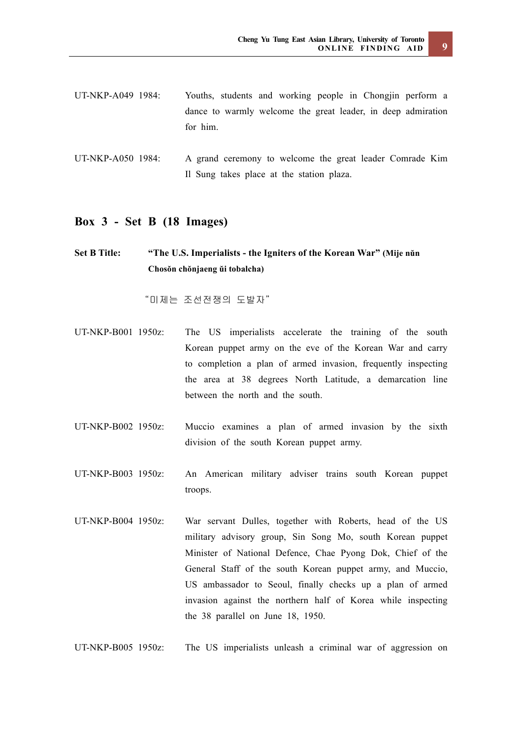- UT-NKP-A049 1984: Youths, students and working people in Chongjin perform a dance to warmly welcome the great leader, in deep admiration for him.
- UT-NKP-A050 1984: A grand ceremony to welcome the great leader Comrade Kim Il Sung takes place at the station plaza.

#### **Box 3 - Set B (18 Images)**

**Set B Title: "The U.S. Imperialists - the Igniters of the Korean War" (Mije nŭn Chosŏn chŏnjaeng ŭi tobalcha)**

"미제는 조선전쟁의 도발자"

- UT-NKP-B001 1950z: The US imperialists accelerate the training of the south Korean puppet army on the eve of the Korean War and carry to completion a plan of armed invasion, frequently inspecting the area at 38 degrees North Latitude, a demarcation line between the north and the south.
- UT-NKP-B002 1950z: Muccio examines a plan of armed invasion by the sixth division of the south Korean puppet army.
- UT-NKP-B003 1950z: An American military adviser trains south Korean puppet troops.
- UT-NKP-B004 1950z: War servant Dulles, together with Roberts, head of the US military advisory group, Sin Song Mo, south Korean puppet Minister of National Defence, Chae Pyong Dok, Chief of the General Staff of the south Korean puppet army, and Muccio, US ambassador to Seoul, finally checks up a plan of armed invasion against the northern half of Korea while inspecting the 38 parallel on June 18, 1950.

UT-NKP-B005 1950z: The US imperialists unleash a criminal war of aggression on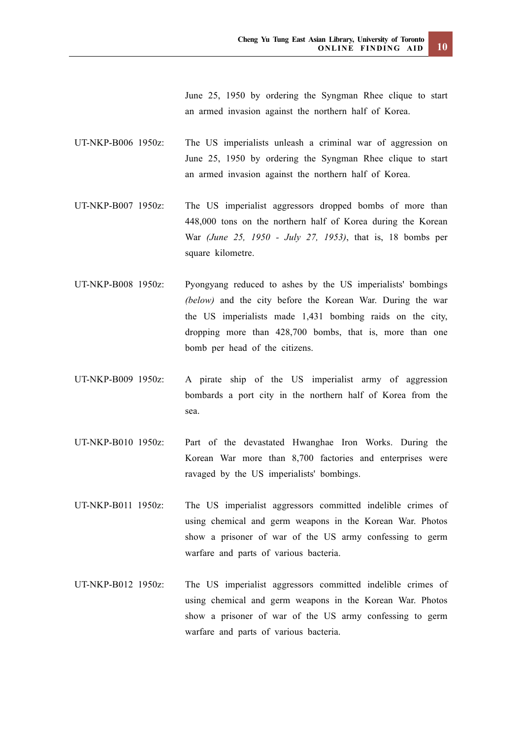June 25, 1950 by ordering the Syngman Rhee clique to start an armed invasion against the northern half of Korea.

- UT-NKP-B006 1950z: The US imperialists unleash a criminal war of aggression on June 25, 1950 by ordering the Syngman Rhee clique to start an armed invasion against the northern half of Korea.
- UT-NKP-B007 1950z: The US imperialist aggressors dropped bombs of more than 448,000 tons on the northern half of Korea during the Korean War *(June 25, 1950 - July 27, 1953)*, that is, 18 bombs per square kilometre.
- UT-NKP-B008 1950z: Pyongyang reduced to ashes by the US imperialists' bombings *(below)* and the city before the Korean War. During the war the US imperialists made 1,431 bombing raids on the city, dropping more than 428,700 bombs, that is, more than one bomb per head of the citizens.
- UT-NKP-B009 1950z: A pirate ship of the US imperialist army of aggression bombards a port city in the northern half of Korea from the sea.
- UT-NKP-B010 1950z: Part of the devastated Hwanghae Iron Works. During the Korean War more than 8,700 factories and enterprises were ravaged by the US imperialists' bombings.
- UT-NKP-B011 1950z: The US imperialist aggressors committed indelible crimes of using chemical and germ weapons in the Korean War. Photos show a prisoner of war of the US army confessing to germ warfare and parts of various bacteria.
- UT-NKP-B012 1950z: The US imperialist aggressors committed indelible crimes of using chemical and germ weapons in the Korean War. Photos show a prisoner of war of the US army confessing to germ warfare and parts of various bacteria.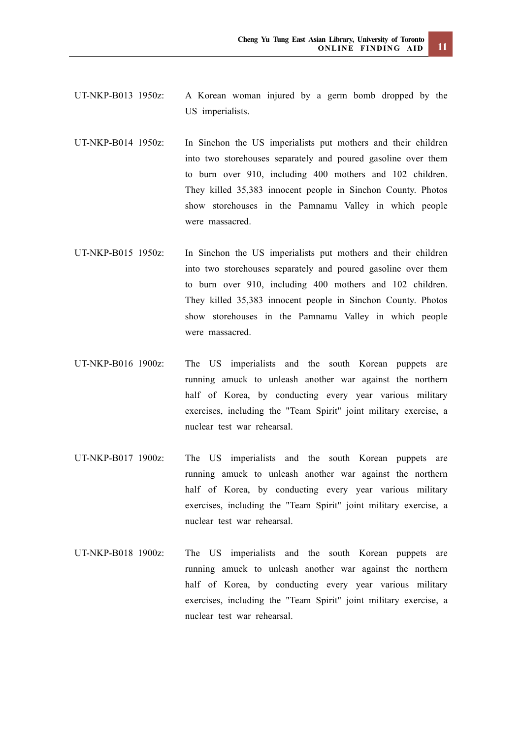- UT-NKP-B013 1950z: A Korean woman injured by a germ bomb dropped by the US imperialists.
- UT-NKP-B014 1950z: In Sinchon the US imperialists put mothers and their children into two storehouses separately and poured gasoline over them to burn over 910, including 400 mothers and 102 children. They killed 35,383 innocent people in Sinchon County. Photos show storehouses in the Pamnamu Valley in which people were massacred.
- UT-NKP-B015 1950z: In Sinchon the US imperialists put mothers and their children into two storehouses separately and poured gasoline over them to burn over 910, including 400 mothers and 102 children. They killed 35,383 innocent people in Sinchon County. Photos show storehouses in the Pamnamu Valley in which people were massacred.
- UT-NKP-B016 1900z: The US imperialists and the south Korean puppets are running amuck to unleash another war against the northern half of Korea, by conducting every year various military exercises, including the "Team Spirit" joint military exercise, a nuclear test war rehearsal.
- UT-NKP-B017 1900z: The US imperialists and the south Korean puppets are running amuck to unleash another war against the northern half of Korea, by conducting every year various military exercises, including the "Team Spirit" joint military exercise, a nuclear test war rehearsal.
- UT-NKP-B018 1900z: The US imperialists and the south Korean puppets are running amuck to unleash another war against the northern half of Korea, by conducting every year various military exercises, including the "Team Spirit" joint military exercise, a nuclear test war rehearsal.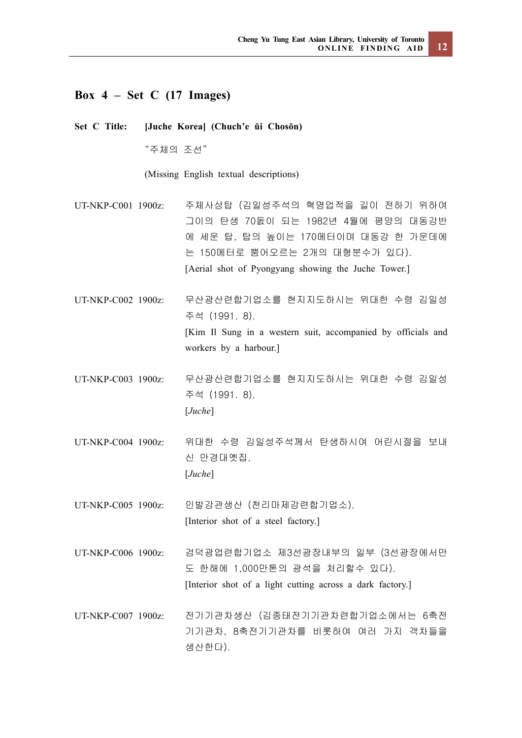#### **Box 4 – Set C (17 Images)**

**Set C Title: [Juche Korea] (Chuch'e ŭi Chosŏn)**

"주체의 조선"

(Missing English textual descriptions)

- UT-NKP-C001 1900z: 주체사상탑 (김일성주석의 혁명업적을 길이 전하기 위하여 그이의 탄생 70돐이 되는 1982년 4월에 평양의 대동강반 에 세운 탑, 탑의 높이는 170메터이며 대동강 한 가운데에 는 150메터로 뿜어오르는 2개의 대형분수가 있다). [Aerial shot of Pyongyang showing the Juche Tower.]
- UT-NKP-C002 1900z: 무산광산련합기업소를 현지지도하시는 위대한 수령 김일성 주석 (1991. 8). [Kim Il Sung in a western suit, accompanied by officials and workers by a harbour.]
- UT-NKP-C003 1900z: 무산광산련합기업소를 현지지도하시는 위대한 수령 김일성 주석 (1991. 8). [*Juche*]
- UT-NKP-C004 1900z: 위대한 수령 김일성주석께서 탄생하시여 어린시절을 보내 신 만경대옛집. [*Juche*]
- UT-NKP-C005 1900z: 인발강관생산 (천리마제강련합기업소). [Interior shot of a steel factory.]
- UT-NKP-C006 1900z: 검덕광업련합기업소 제3선광장내부의 일부 (3선광장에서만 도 한해에 1,000만톤의 광석을 처리할수 있다). [Interior shot of a light cutting across a dark factory.]
- UT-NKP-C007 1900z: 전기기관차생산 (김종태전기기관차련합기업소에서는 6축전 기기관차, 8축전기기관차를 비롯하여 여러 가지 객차들을 생산한다).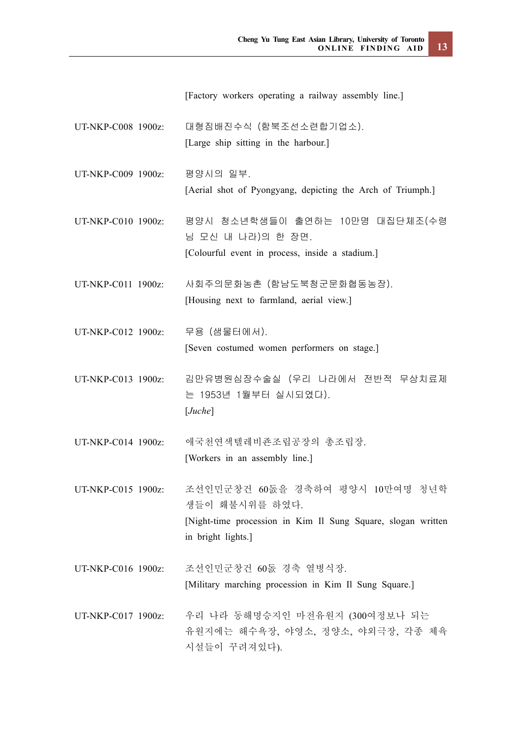UT-NKP-C008 1900z: UT-NKP-C009 1900z: UT-NKP-C010 1900z: UT-NKP-C011 1900z: UT-NKP-C012 1900z: UT-NKP-C013 1900z: UT-NKP-C014 1900z: UT-NKP-C015 1900z: UT-NKP-C016 1900z: UT-NKP-C017 1900z: [Factory workers operating a railway assembly line.] 대형짐배진수식 (함북조선소련합기업소). [Large ship sitting in the harbour.] 평양시의 일부. [Aerial shot of Pyongyang, depicting the Arch of Triumph.] 평양시 청소년학생들이 출연하는 10만명 대집단체조(수령 님 모신 내 나라)의 한 장면. [Colourful event in process, inside a stadium.] 사회주의문화농촌 (함남도북청군문화협동농장). [Housing next to farmland, aerial view.] 무용 (샘물터에서). [Seven costumed women performers on stage.] 김만유병원심장수술실 (우리 나라에서 전반적 무상치료제 는 1953년 1월부터 실시되였다). [*Juche*] 애국천연색텔레비죤조립공장의 총조립장. [Workers in an assembly line.] 조선인민군창건 60돐을 경축하여 평양시 10만여명 청년학 생들이 홰불시위를 하였다. [Night-time procession in Kim Il Sung Square, slogan written in bright lights.] 조선인민군창건 60돐 경축 열병식장. [Military marching procession in Kim Il Sung Square.] 우리 나라 동해명승지인 마전유원지 (300여정보나 되는 유원지에는 해수욕장, 야영소, 정양소, 야외극장, 각종 체육 시설들이 꾸려져있다).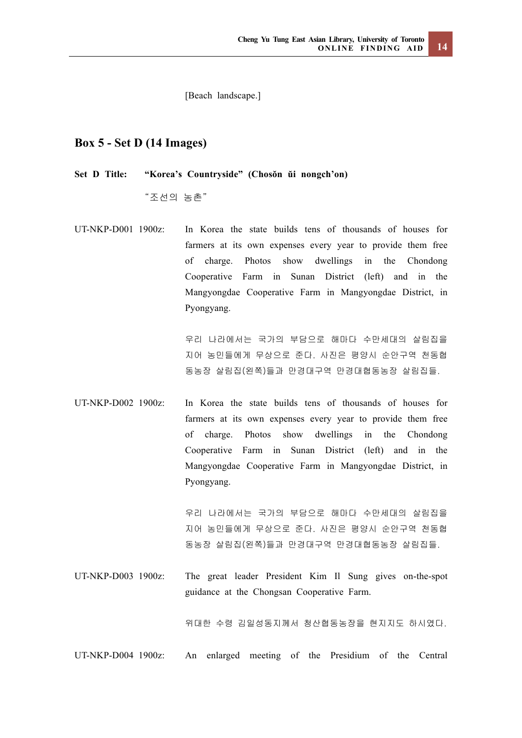[Beach landscape.]

#### **Box 5 - Set D (14 Images)**

#### **Set D Title: "Korea's Countryside" (Chosŏn ŭi nongch'on)**

"조선의 농촌"

UT-NKP-D001 1900z: In Korea the state builds tens of thousands of houses for farmers at its own expenses every year to provide them free of charge. Photos show dwellings in the Chondong Cooperative Farm in Sunan District (left) and in the Mangyongdae Cooperative Farm in Mangyongdae District, in Pyongyang.

> 우리 나라에서는 국가의 부담으로 해마다 수만세대의 살림집을 지어 농민들에게 무상으로 준다. 사진은 평양시 순안구역 천동협 동농장 살림집(왼쪽)들과 만경대구역 만경대협동농장 살림집들.

UT-NKP-D002 1900z: In Korea the state builds tens of thousands of houses for farmers at its own expenses every year to provide them free of charge. Photos show dwellings in the Chondong Cooperative Farm in Sunan District (left) and in the Mangyongdae Cooperative Farm in Mangyongdae District, in Pyongyang.

> 우리 나라에서는 국가의 부담으로 해마다 수만세대의 살림집을 지어 농민들에게 무상으로 준다. 사진은 평양시 순안구역 천동협 동농장 살림집(왼쪽)들과 만경대구역 만경대협동농장 살림집들.

UT-NKP-D003 1900z: The great leader President Kim Il Sung gives on-the-spot guidance at the Chongsan Cooperative Farm.

위대한 수령 김일성동지께서 청산협동농장을 현지지도 하시였다.

UT-NKP-D004 1900z: An enlarged meeting of the Presidium of the Central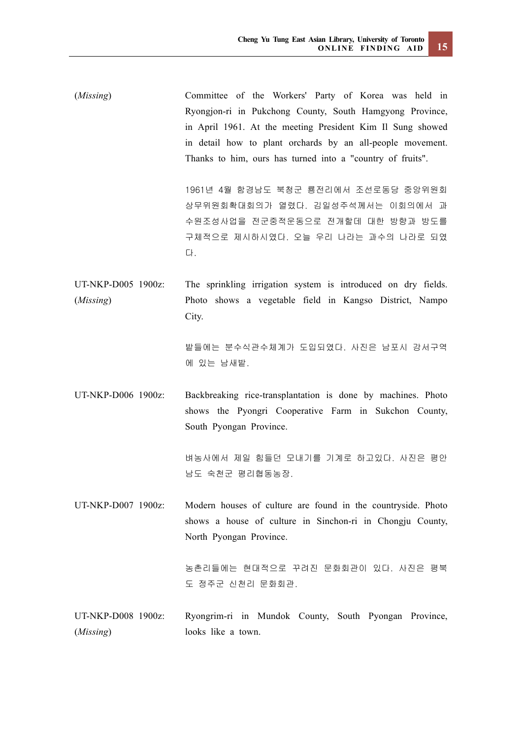(*Missing*) Committee of the Workers' Party of Korea was held in Ryongjon-ri in Pukchong County, South Hamgyong Province, in April 1961. At the meeting President Kim Il Sung showed in detail how to plant orchards by an all-people movement. Thanks to him, ours has turned into a "country of fruits".

> 1961년 4월 함경남도 북청군 룡전리에서 조선로동당 중앙위원회 상무위원회확대회의가 열렸다. 김일성주석께서는 이회의에서 과 수원조성사업을 전군중적운동으로 전개할데 대한 방향과 방도를 구체적으로 제시하시였다. 오늘 우리 나라는 과수의 나라로 되였 다.

UT-NKP-D005 1900z: (*Missing*) The sprinkling irrigation system is introduced on dry fields. Photo shows a vegetable field in Kangso District, Nampo City.

> 밭들에는 분수식관수체계가 도입되였다. 사진은 남포시 강서구역 에 있는 남새밭.

UT-NKP-D006 1900z: Backbreaking rice-transplantation is done by machines. Photo shows the Pyongri Cooperative Farm in Sukchon County, South Pyongan Province.

> 벼농사에서 제일 힘들던 모내기를 기계로 하고있다. 사진은 평안 남도 숙천군 평리협동농장.

UT-NKP-D007 1900z: Modern houses of culture are found in the countryside. Photo shows a house of culture in Sinchon-ri in Chongju County, North Pyongan Province.

> 농촌리들에는 현대적으로 꾸려진 문화회관이 있다. 사진은 평북 도 정주군 신천리 문화회관.

UT-NKP-D008 1900z: (*Missing*) Ryongrim-ri in Mundok County, South Pyongan Province, looks like a town.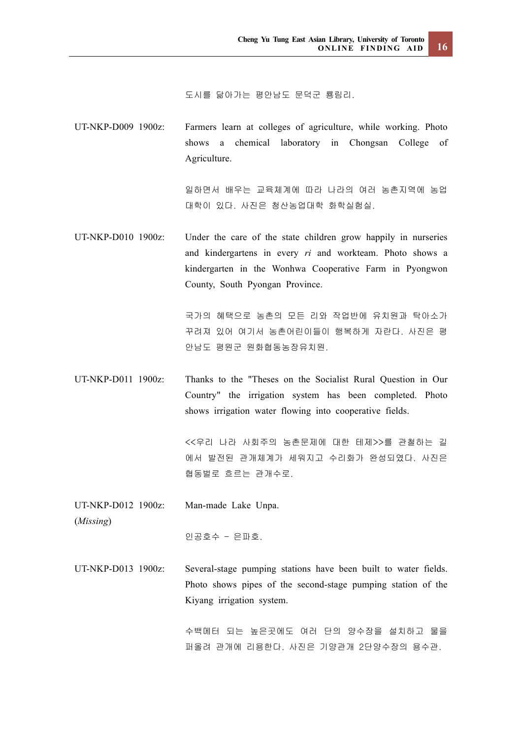도시를 닮아가는 평안남도 문덕군 룡림리.

UT-NKP-D009 1900z: Farmers learn at colleges of agriculture, while working. Photo shows a chemical laboratory in Chongsan College of Agriculture.

> 일하면서 배우는 교육체계에 따라 나라의 여러 농촌지역에 농업 대학이 있다. 사진은 청산농업대학 화학실험실.

UT-NKP-D010 1900z: Under the care of the state children grow happily in nurseries and kindergartens in every *ri* and workteam. Photo shows a kindergarten in the Wonhwa Cooperative Farm in Pyongwon County, South Pyongan Province.

> 국가의 혜택으로 농촌의 모든 리와 작업반에 유치원과 탁아소가 꾸려져 있어 여기서 농촌어린이들이 행복하게 자란다. 사진은 평 안남도 평원군 원화협동농장유치원.

UT-NKP-D011 1900z: Thanks to the "Theses on the Socialist Rural Question in Our Country" the irrigation system has been completed. Photo shows irrigation water flowing into cooperative fields.

> <<우리 나라 사회주의 농촌문제에 대한 테제>>를 관철하는 길 에서 발전된 관개체계가 세워지고 수리화가 완성되였다. 사진은 협동벌로 흐르는 관개수로.

UT-NKP-D012 1900z: (*Missing*) Man-made Lake Unpa.

인공호수 – 은파호.

UT-NKP-D013 1900z: Several-stage pumping stations have been built to water fields. Photo shows pipes of the second-stage pumping station of the Kiyang irrigation system.

> 수백메터 되는 높은곳에도 여러 단의 양수장을 설치하고 물을 퍼올려 관개에 리용한다. 사진은 기양관개 2단양수장의 용수관.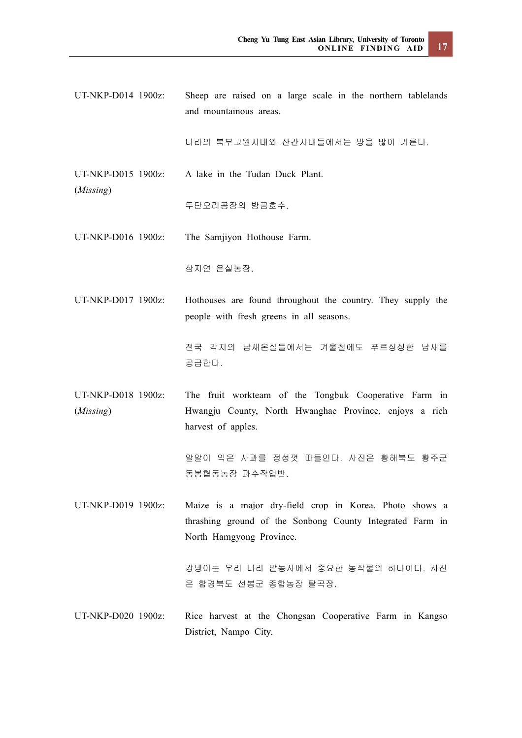UT-NKP-D014 1900z: Sheep are raised on a large scale in the northern tablelands and mountainous areas.

나라의 북부고원지대와 산간지대들에서는 양을 많이 기른다.

UT-NKP-D015 1900z: (*Missing*) A lake in the Tudan Duck Plant.

두단오리공장의 방금호수.

UT-NKP-D016 1900z: The Samjiyon Hothouse Farm.

삼지연 온실농장.

UT-NKP-D017 1900z: Hothouses are found throughout the country. They supply the people with fresh greens in all seasons.

> 전국 각지의 남새온실들에서는 겨울철에도 푸르싱싱한 남새를 공급한다.

UT-NKP-D018 1900z: (*Missing*) The fruit workteam of the Tongbuk Cooperative Farm in Hwangju County, North Hwanghae Province, enjoys a rich harvest of apples.

> 알알이 익은 사과를 정성껏 따들인다. 사진은 황해북도 황주군 동봉협동농장 과수작업반.

UT-NKP-D019 1900z: Maize is a major dry-field crop in Korea. Photo shows a thrashing ground of the Sonbong County Integrated Farm in North Hamgyong Province.

> 강냉이는 우리 나라 밭농사에서 중요한 농작물의 하나이다. 사진 은 함경북도 선봉군 종합농장 탈곡장.

UT-NKP-D020 1900z: Rice harvest at the Chongsan Cooperative Farm in Kangso District, Nampo City.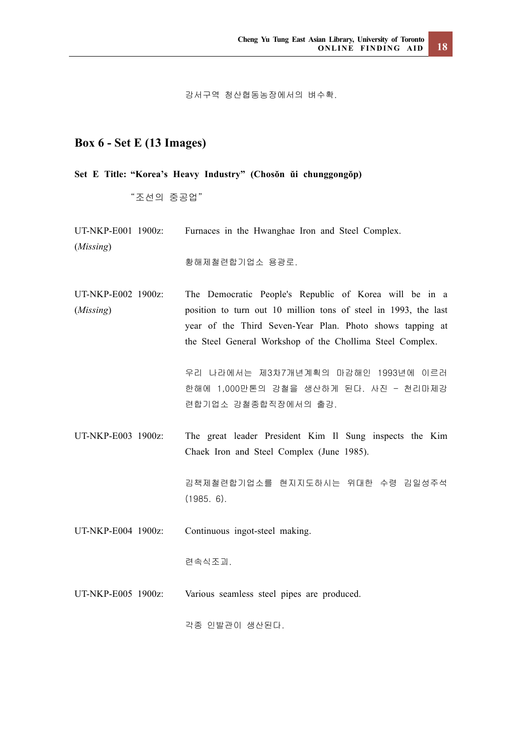강서구역 청산협동농장에서의 벼수확.

#### **Box 6 - Set E (13 Images)**

#### **Set E Title: "Korea's Heavy Industry" (Chosŏn ŭi chunggongŏp)**

"조선의 중공업"

UT-NKP-E001 1900z: (*Missing*) Furnaces in the Hwanghae Iron and Steel Complex.

황해제철련합기업소 용광로.

UT-NKP-E002 1900z: (*Missing*) The Democratic People's Republic of Korea will be in a position to turn out 10 million tons of steel in 1993, the last year of the Third Seven-Year Plan. Photo shows tapping at the Steel General Workshop of the Chollima Steel Complex.

> 우리 나라에서는 제3차7개년계획의 마감해인 1993년에 이르러 한해에 1,000만톤의 강철을 생산하게 된다. 사진 – 천리마제강 련합기업소 강철종합직장에서의 출강.

UT-NKP-E003 1900z: The great leader President Kim Il Sung inspects the Kim Chaek Iron and Steel Complex (June 1985).

> 김책제철련합기업소를 현지지도하시는 위대한 수령 김일성주석 (1985. 6).

UT-NKP-E004 1900z: Continuous ingot-steel making.

련속식조괴.

UT-NKP-E005 1900z: Various seamless steel pipes are produced.

각종 인발관이 생산된다.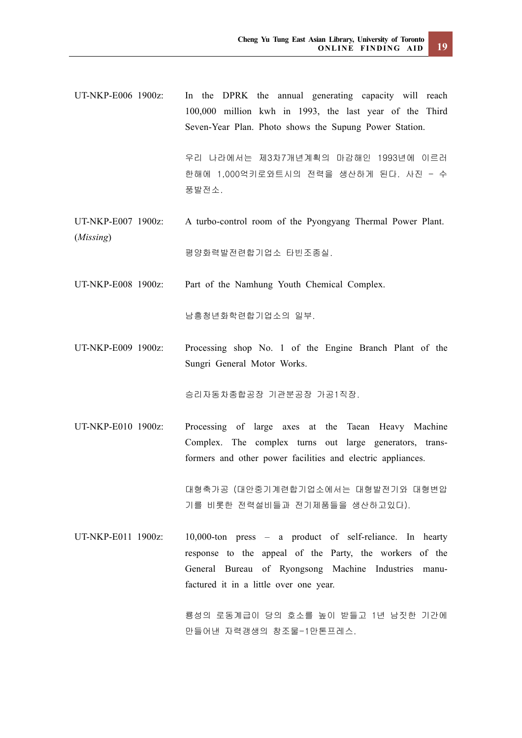UT-NKP-E006 1900z: In the DPRK the annual generating capacity will reach 100,000 million kwh in 1993, the last year of the Third Seven-Year Plan. Photo shows the Supung Power Station.

> 우리 나라에서는 제3차7개년계획의 마감해인 1993년에 이르러 한해에 1,000억키로와트시의 전력을 생산하게 된다. 사진 – 수 풍발전소.

UT-NKP-E007 1900z: (*Missing*) A turbo-control room of the Pyongyang Thermal Power Plant.

평양화력발전련합기업소 타빈조종실.

UT-NKP-E008 1900z: Part of the Namhung Youth Chemical Complex.

남흥청년화학련합기업소의 일부.

UT-NKP-E009 1900z: Processing shop No. 1 of the Engine Branch Plant of the Sungri General Motor Works.

승리자동차종합공장 기관분공장 가공1직장.

UT-NKP-E010 1900z: Processing of large axes at the Taean Heavy Machine Complex. The complex turns out large generators, transformers and other power facilities and electric appliances.

> 대형축가공 (대안중기계련합기업소에서는 대형발전기와 대형변압 기를 비롯한 전력설비들과 전기제품들을 생산하고있다).

UT-NKP-E011 1900z: 10,000-ton press – a product of self-reliance. In hearty response to the appeal of the Party, the workers of the General Bureau of Ryongsong Machine Industries manufactured it in a little over one year.

> 룡성의 로동계급이 당의 호소를 높이 받들고 1년 남짓한 기간에 만들어낸 자력갱생의 창조물-1만톤프레스.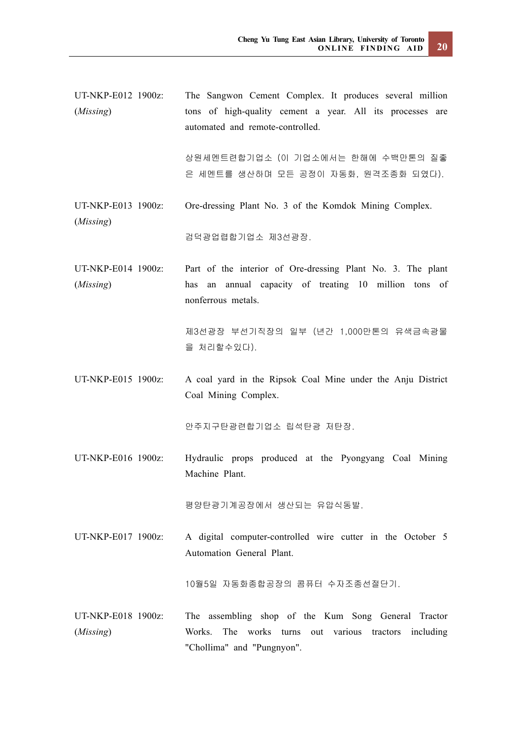UT-NKP-E012 1900z: (*Missing*) The Sangwon Cement Complex. It produces several million tons of high-quality cement a year. All its processes are automated and remote-controlled.

> 상원세멘트련합기업소 (이 기업소에서는 한해에 수백만톤의 질좋 은 세멘트를 생산하며 모든 공정이 자동화, 원격조종화 되였다).

UT-NKP-E013 1900z: (*Missing*) Ore-dressing Plant No. 3 of the Komdok Mining Complex. 검덕광업렵합기업소 제3선광장.

UT-NKP-E014 1900z: (*Missing*) Part of the interior of Ore-dressing Plant No. 3. The plant has an annual capacity of treating 10 million tons of nonferrous metals.

> 제3선광장 부선기직장의 일부 (년간 1,000만톤의 유색금속광물 을 처리할수있다).

UT-NKP-E015 1900z: A coal yard in the Ripsok Coal Mine under the Anju District Coal Mining Complex.

안주지구탄광련합기업소 립석탄광 저탄장.

UT-NKP-E016 1900z: Hydraulic props produced at the Pyongyang Coal Mining Machine Plant.

평양탄광기계공장에서 생산되는 유압식동발.

UT-NKP-E017 1900z: A digital computer-controlled wire cutter in the October 5 Automation General Plant.

10월5일 자동화종합공장의 콤퓨터 수자조종선절단기.

UT-NKP-E018 1900z: (*Missing*) The assembling shop of the Kum Song General Tractor Works. The works turns out various tractors including "Chollima" and "Pungnyon".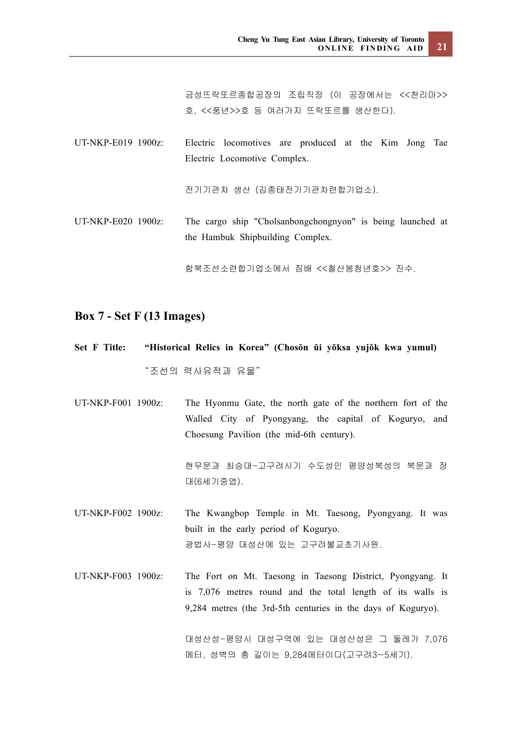금성뜨락또르종합공장의 조립직장 (이 공장에서는 <<천리마>> 호, <<풍년>>호 등 여러가지 뜨락또르를 생산한다).

UT-NKP-E019 1900z: Electric locomotives are produced at the Kim Jong Tae Electric Locomotive Complex.

전기기관차 생산 (김종태전기기관차련합기업소).

UT-NKP-E020 1900z: The cargo ship "Cholsanbongchongnyon" is being launched at the Hambuk Shipbuilding Complex.

함북조선소련합기업소에서 짐배 <<철산봉청년호>> 진수.

#### **Box 7 - Set F (13 Images)**

- **Set F Title: "Historical Relics in Korea" (Chosŏn ŭi yŏksa yujŏk kwa yumul)** "조선의 력사유적과 유물"
- UT-NKP-F001 1900z: The Hyonmu Gate, the north gate of the northern fort of the Walled City of Pyongyang, the capital of Koguryo, and Choesung Pavilion (the mid-6th century).

현무문과 최승대-고구려시기 수도성인 평양성북성의 북문과 장 대(6세기중엽).

- UT-NKP-F002 1900z: The Kwangbop Temple in Mt. Taesong, Pyongyang. It was built in the early period of Koguryo. 광법사-평양 대성산에 있는 고구려불교초기사원.
- UT-NKP-F003 1900z: The Fort on Mt. Taesong in Taesong District, Pyongyang. It is 7,076 metres round and the total length of its walls is 9,284 metres (the 3rd-5th centuries in the days of Koguryo).

대성산성-평양시 대성구역에 있는 대성산성은 그 둘레가 7,076 메터, 성벽의 총 길이는 9,284메터이다(고구려3~5세기).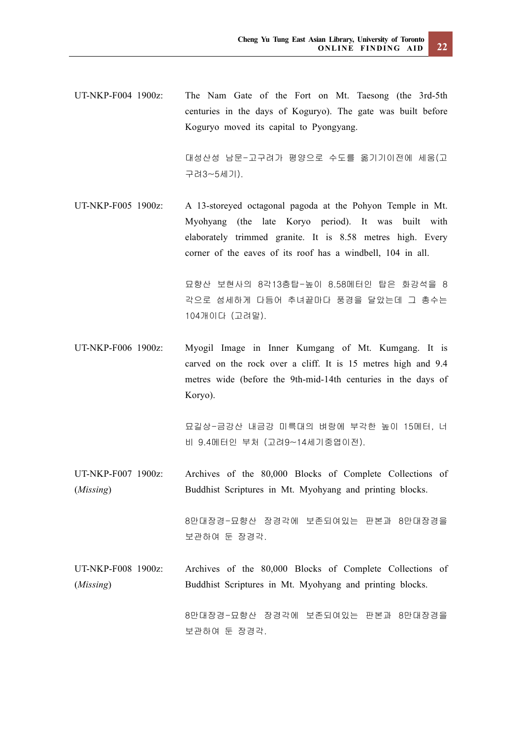UT-NKP-F004 1900z: The Nam Gate of the Fort on Mt. Taesong (the 3rd-5th centuries in the days of Koguryo). The gate was built before Koguryo moved its capital to Pyongyang.

> 대성산성 남문-고구려가 평양으로 수도를 옮기기이전에 세움(고 구려3~5세기).

UT-NKP-F005 1900z: A 13-storeyed octagonal pagoda at the Pohyon Temple in Mt. Myohyang (the late Koryo period). It was built with elaborately trimmed granite. It is 8.58 metres high. Every corner of the eaves of its roof has a windbell, 104 in all.

> 묘향산 보현사의 8각13층탑-높이 8.58메터인 탑은 화강석을 8 각으로 섬세하게 다듬어 추녀끝마다 풍경을 달았는데 그 총수는 104개이다 (고려말).

UT-NKP-F006 1900z: Myogil Image in Inner Kumgang of Mt. Kumgang. It is carved on the rock over a cliff. It is 15 metres high and 9.4 metres wide (before the 9th-mid-14th centuries in the days of Koryo).

> 묘길상-금강산 내금강 미륵대의 벼랑에 부각한 높이 15메터, 너 비 9.4메터인 부처 (고려9~14세기중엽이전).

UT-NKP-F007 1900z: (*Missing*) Archives of the 80,000 Blocks of Complete Collections of Buddhist Scriptures in Mt. Myohyang and printing blocks.

> 8만대장경-묘향산 장경각에 보존되여있는 판본과 8만대장경을 보관하여 둔 장경각.

UT-NKP-F008 1900z: (*Missing*) Archives of the 80,000 Blocks of Complete Collections of Buddhist Scriptures in Mt. Myohyang and printing blocks.

> 8만대장경-묘향산 장경각에 보존되여있는 판본과 8만대장경을 보관하여 둔 장경각.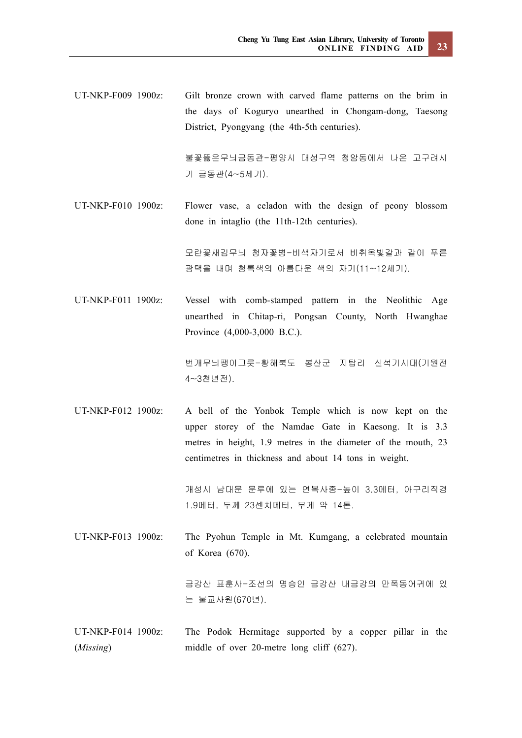UT-NKP-F009 1900z: Gilt bronze crown with carved flame patterns on the brim in the days of Koguryo unearthed in Chongam-dong, Taesong District, Pyongyang (the 4th-5th centuries).

> 불꽃뚫은무늬금동관-평양시 대성구역 청암동에서 나온 고구려시 기 금동관(4~5세기).

UT-NKP-F010 1900z: Flower vase, a celadon with the design of peony blossom done in intaglio (the 11th-12th centuries).

> 모란꽃새김무늬 청자꽃병-비색자기로서 비취옥빛갈과 같이 푸른 광택을 내며 청록색의 아름다운 색의 자기(11~12세기).

UT-NKP-F011 1900z: Vessel with comb-stamped pattern in the Neolithic Age unearthed in Chitap-ri, Pongsan County, North Hwanghae Province (4,000-3,000 B.C.).

> 번개무늬팽이그릇-황해북도 봉산군 지탑리 신석기시대(기원전 4~3천년전).

UT-NKP-F012 1900z: A bell of the Yonbok Temple which is now kept on the upper storey of the Namdae Gate in Kaesong. It is 3.3 metres in height, 1.9 metres in the diameter of the mouth, 23 centimetres in thickness and about 14 tons in weight.

> 개성시 남대문 문루에 있는 연복사종-높이 3.3메터, 아구리직경 1.9메터, 두께 23센치메터, 무게 약 14톤.

UT-NKP-F013 1900z: The Pyohun Temple in Mt. Kumgang, a celebrated mountain of Korea (670).

> 금강산 표훈사-조선의 명승인 금강산 내금강의 만폭동어귀에 있 는 불교사원(670년).

UT-NKP-F014 1900z: (*Missing*) The Podok Hermitage supported by a copper pillar in the middle of over 20-metre long cliff (627).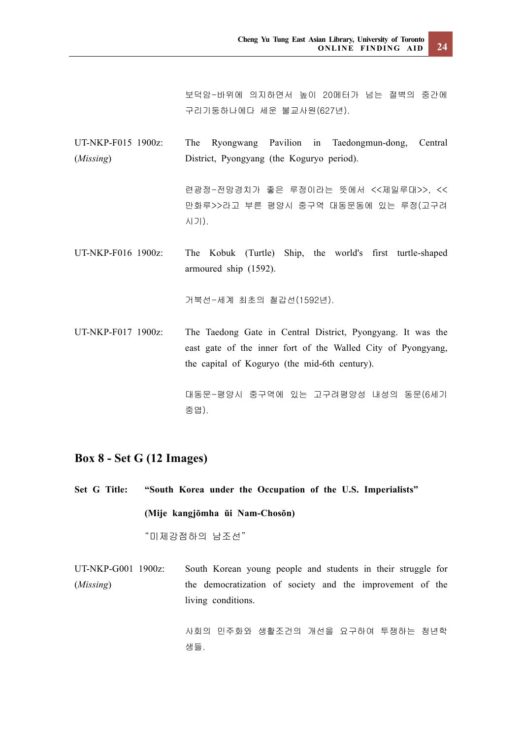보덕암-바위에 의지하면서 높이 20메터가 넘는 절벽의 중간에 구리기둥하나에다 세운 불교사원(627년).

UT-NKP-F015 1900z: (*Missing*) The Ryongwang Pavilion in Taedongmun-dong, Central District, Pyongyang (the Koguryo period).

> 련광정-전망경치가 좋은 루정이라는 뜻에서 <<제일루대>>, << 만화루>>라고 부른 평양시 중구역 대동문동에 있는 루정(고구려 시기).

UT-NKP-F016 1900z: The Kobuk (Turtle) Ship, the world's first turtle-shaped armoured ship (1592).

거북선-세계 최초의 철갑선(1592년).

UT-NKP-F017 1900z: The Taedong Gate in Central District, Pyongyang. It was the east gate of the inner fort of the Walled City of Pyongyang, the capital of Koguryo (the mid-6th century).

> 대동문-평양시 중구역에 있는 고구려평양성 내성의 동문(6세기 중엽).

#### **Box 8 - Set G (12 Images)**

**Set G Title: "South Korea under the Occupation of the U.S. Imperialists" (Mije kangjŏmha ŭi Nam-Chosŏn)**

"미제강점하의 남조선"

UT-NKP-G001 1900z: (*Missing*) South Korean young people and students in their struggle for the democratization of society and the improvement of the living conditions.

> 사회의 민주화와 생활조건의 개선을 요구하여 투쟁하는 청년학 생들.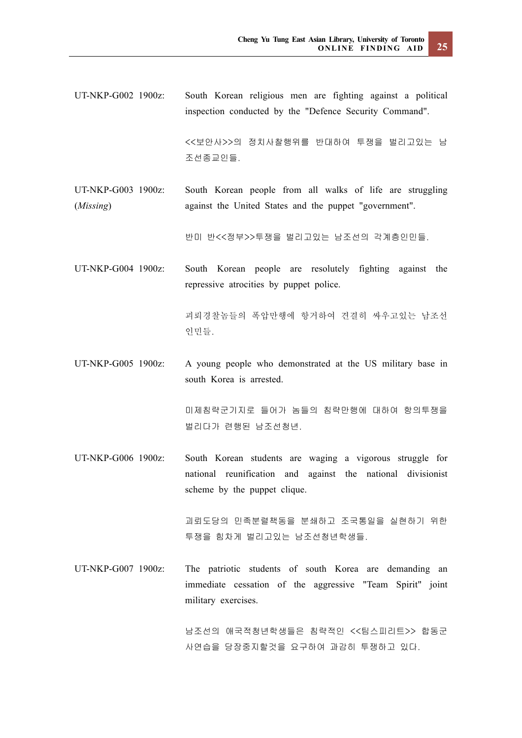UT-NKP-G002 1900z: South Korean religious men are fighting against a political inspection conducted by the "Defence Security Command".

> <<보안사>>의 정치사찰행위를 반대하여 투쟁을 벌리고있는 남 조선종교인들.

UT-NKP-G003 1900z: (*Missing*) South Korean people from all walks of life are struggling against the United States and the puppet "government".

반미 반<<정부>>투쟁을 벌리고있는 남조선의 각계층인민들.

UT-NKP-G004 1900z: South Korean people are resolutely fighting against the repressive atrocities by puppet police.

> 괴뢰경찰놈들의 폭압만행에 항거하여 견결히 싸우고있는 남조선 인민들.

UT-NKP-G005 1900z: A young people who demonstrated at the US military base in south Korea is arrested.

> 미제침략군기지로 들어가 놈들의 침략만행에 대하여 항의투쟁을 벌리다가 련행된 남조선청년.

UT-NKP-G006 1900z: South Korean students are waging a vigorous struggle for national reunification and against the national divisionist scheme by the puppet clique.

> 괴뢰도당의 민족분렬책동을 분쇄하고 조국통일을 실현하기 위한 투쟁을 힘차게 벌리고있는 남조선청년학생들.

UT-NKP-G007 1900z: The patriotic students of south Korea are demanding an immediate cessation of the aggressive "Team Spirit" joint military exercises.

> 남조선의 애국적청년학생들은 침략적인 <<팀스피리트>> 합동군 사연습을 당장중지할것을 요구하여 과감히 투쟁하고 있다.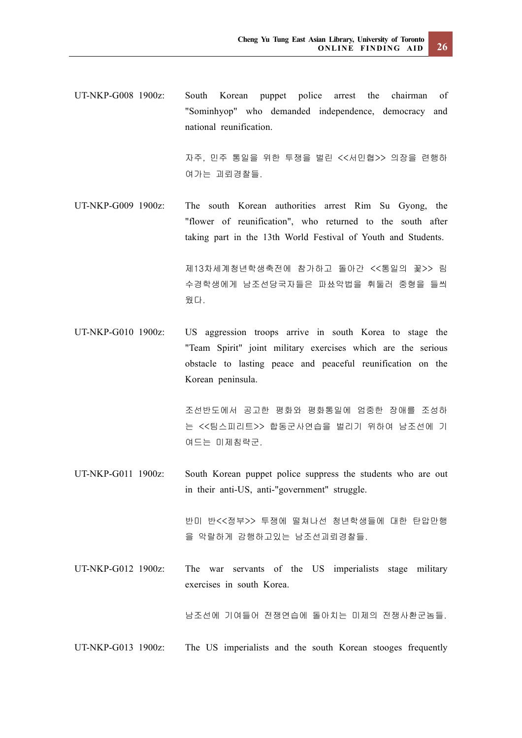UT-NKP-G008 1900z: South Korean puppet police arrest the chairman of "Sominhyop" who demanded independence, democracy and national reunification.

> 자주, 민주 통일을 위한 투쟁을 벌린 <<서민협>> 의장을 련행하 여가는 괴뢰경찰들.

UT-NKP-G009 1900z: The south Korean authorities arrest Rim Su Gyong, the "flower of reunification", who returned to the south after taking part in the 13th World Festival of Youth and Students.

> 제13차세계청년학생축전에 참가하고 돌아간 <<통일의 꽃>> 림 수경학생에게 남조선당국자들은 파쑈악법을 휘둘러 중형을 들씌 웠다.

UT-NKP-G010 1900z: US aggression troops arrive in south Korea to stage the "Team Spirit" joint military exercises which are the serious obstacle to lasting peace and peaceful reunification on the Korean peninsula.

> 조선반도에서 공고한 평화와 평화통일에 엄중한 장애를 조성하 는 <<팀스피리트>> 합동군사연습을 벌리기 위하여 남조선에 기 여드는 미제침략군.

UT-NKP-G011 1900z: South Korean puppet police suppress the students who are out in their anti-US, anti-"government" struggle.

> 반미 반<<정부>> 투쟁에 떨쳐나선 청년학생들에 대한 탄압만행 을 악랄하게 감행하고있는 남조선괴뢰경찰들.

UT-NKP-G012 1900z: The war servants of the US imperialists stage military exercises in south Korea.

남조선에 기여들어 전쟁연습에 돌아치는 미제의 전쟁사환군놈들.

UT-NKP-G013 1900z: The US imperialists and the south Korean stooges frequently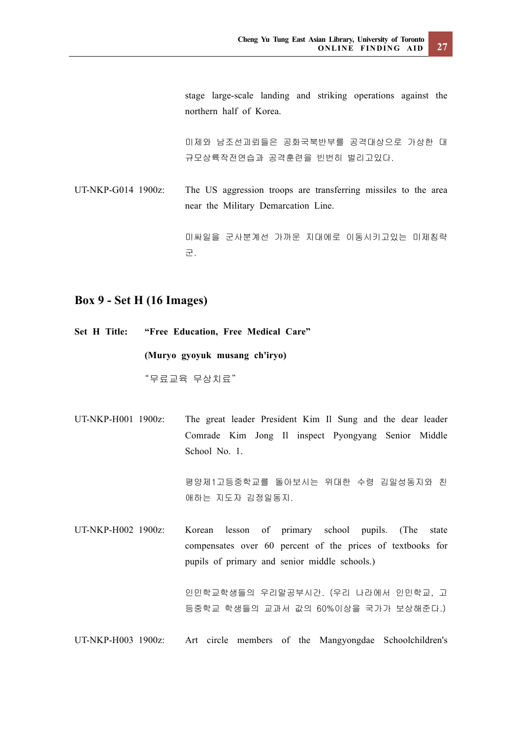stage large-scale landing and striking operations against the northern half of Korea.

미제와 남조선괴뢰들은 공화국북반부를 공격대상으로 가상한 대 규모상륙작전연습과 공격훈련을 빈번히 벌리고있다.

UT-NKP-G014 1900z: The US aggression troops are transferring missiles to the area near the Military Demarcation Line.

> 미싸일을 군사분계선 가까운 지대에로 이동시키고있는 미제침략 군.

#### **Box 9 - Set H (16 Images)**

**Set H Title: "Free Education, Free Medical Care"**

**(Muryo gyoyuk musang ch'iryo)**

"무료교육 무상치료"

UT-NKP-H001 1900z: The great leader President Kim Il Sung and the dear leader Comrade Kim Jong Il inspect Pyongyang Senior Middle School No. 1.

> 평양제1고등중학교를 돌아보시는 위대한 수령 김일성동지와 친 애하는 지도자 김정일동지.

UT-NKP-H002 1900z: Korean lesson of primary school pupils. (The state compensates over 60 percent of the prices of textbooks for pupils of primary and senior middle schools.)

> 인민학교학생들의 우리말공부시간. (우리 나라에서 인민학교, 고 등중학교 학생들의 교과서 값의 60%이상을 국가가 보상해준다.)

UT-NKP-H003 1900z: Art circle members of the Mangyongdae Schoolchildren's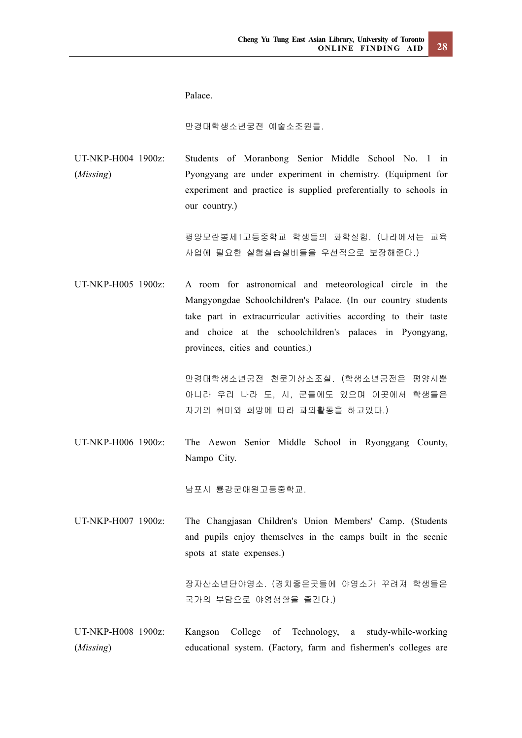Palace.

만경대학생소년궁전 예술소조원들.

UT-NKP-H004 1900z: (*Missing*) Students of Moranbong Senior Middle School No. 1 in Pyongyang are under experiment in chemistry. (Equipment for experiment and practice is supplied preferentially to schools in our country.)

> 평양모란봉제1고등중학교 학생들의 화학실험. (나라에서는 교육 사업에 필요한 실험실습설비들을 우선적으로 보장해준다.)

UT-NKP-H005 1900z: A room for astronomical and meteorological circle in the Mangyongdae Schoolchildren's Palace. (In our country students take part in extracurricular activities according to their taste and choice at the schoolchildren's palaces in Pyongyang, provinces, cities and counties.)

> 만경대학생소년궁전 천문기상소조실. (학생소년궁전은 평양시뿐 아니라 우리 나라 도, 시, 군들에도 있으며 이곳에서 학생들은 자기의 취미와 희망에 따라 과외활동을 하고있다.)

UT-NKP-H006 1900z: The Aewon Senior Middle School in Ryonggang County, Nampo City.

남포시 룡강군애원고등중학교.

UT-NKP-H007 1900z: The Changjasan Children's Union Members' Camp. (Students and pupils enjoy themselves in the camps built in the scenic spots at state expenses.)

> 장자산소년단야영소. (경치좋은곳들에 야영소가 꾸려져 학생들은 국가의 부담으로 야영생활을 즐긴다.)

UT-NKP-H008 1900z: (*Missing*) Kangson College of Technology, a study-while-working educational system. (Factory, farm and fishermen's colleges are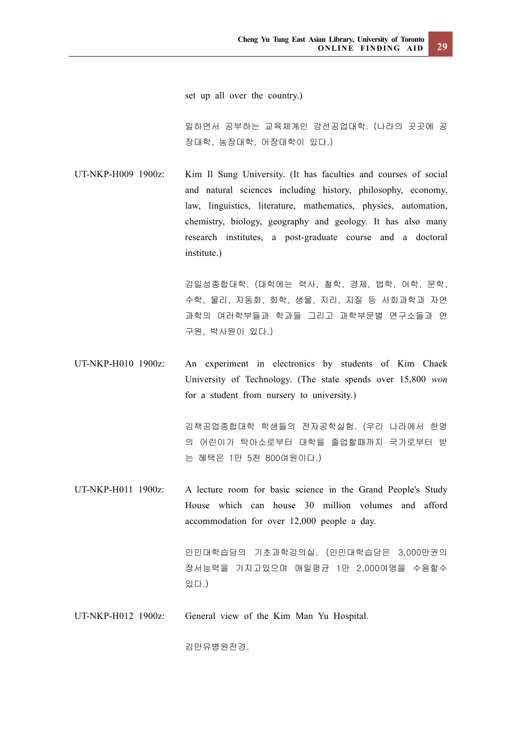set up all over the country.)

일하면서 공부하는 교육체계인 강선공업대학. (나라의 곳곳에 공 장대학, 농장대학, 어장대학이 있다.)

UT-NKP-H009 1900z: Kim Il Sung University. (It has faculties and courses of social and natural sciences including history, philosophy, economy, law, linguistics, literature, mathematics, physics, automation, chemistry, biology, geography and geology. It has also many research institutes, a post-graduate course and a doctoral institute.)

> 김일성종합대학. (대학에는 력사, 철학, 경제, 법학, 어학, 문학, 수학, 물리, 자동화, 화학, 생물, 지리, 지질 등 사회과학과 자연 과학의 여러학부들과 학과들 그리고 과학부문별 연구소들과 연 구원, 박사원이 있다.)

UT-NKP-H010 1900z: An experiment in electronics by students of Kim Chaek University of Technology. (The state spends over 15,800 *won* for a student from nursery to university.)

> 김책공업종합대학 학생들의 전자공학실험. (우리 나라에서 한명 의 어린이가 탁아소로부터 대학을 졸업할때까지 국가로부터 받 는 혜택은 1만 5천 800여원이다.)

UT-NKP-H011 1900z: A lecture room for basic science in the Grand People's Study House which can house 30 million volumes and afford accommodation for over 12,000 people a day.

> 인민대학습당의 기초과학강의실. (인민대학습당은 3,000만권의 장서능력을 가지고있으며 매일평균 1만 2,000여명을 수용할수 있다.)

UT-NKP-H012 1900z: General view of the Kim Man Yu Hospital.

김만유병원전경.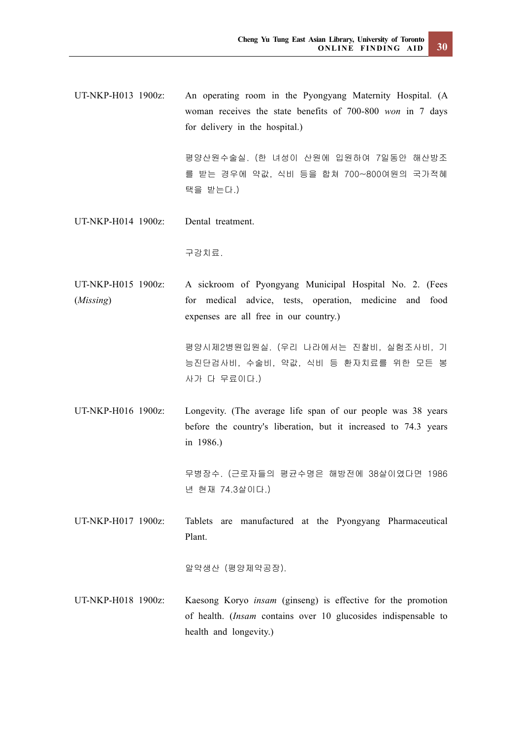UT-NKP-H013 1900z: An operating room in the Pyongyang Maternity Hospital. (A woman receives the state benefits of 700-800 *won* in 7 days for delivery in the hospital.)

> 평양산원수술실. (한 녀성이 산원에 입원하여 7일동안 해산방조 를 받는 경우에 약값, 식비 등을 합쳐 700~800여원의 국가적혜 택을 받는다.)

UT-NKP-H014 1900z: Dental treatment.

구강치료.

UT-NKP-H015 1900z: (*Missing*) A sickroom of Pyongyang Municipal Hospital No. 2. (Fees for medical advice, tests, operation, medicine and food expenses are all free in our country.)

> 평양시제2병원입원실. (우리 나라에서는 진찰비, 실험조사비, 기 능진단검사비, 수술비, 약값, 식비 등 환자치료를 위한 모든 봉 사가 다 무료이다.)

UT-NKP-H016 1900z: Longevity. (The average life span of our people was 38 years before the country's liberation, but it increased to 74.3 years in 1986.)

> 무병장수. (근로자들의 평균수명은 해방전에 38살이였다면 1986 년 현재 74.3살이다.)

UT-NKP-H017 1900z: Tablets are manufactured at the Pyongyang Pharmaceutical Plant.

알약생산 (평양제약공장).

UT-NKP-H018 1900z: Kaesong Koryo *insam* (ginseng) is effective for the promotion of health. (*Insam* contains over 10 glucosides indispensable to health and longevity.)